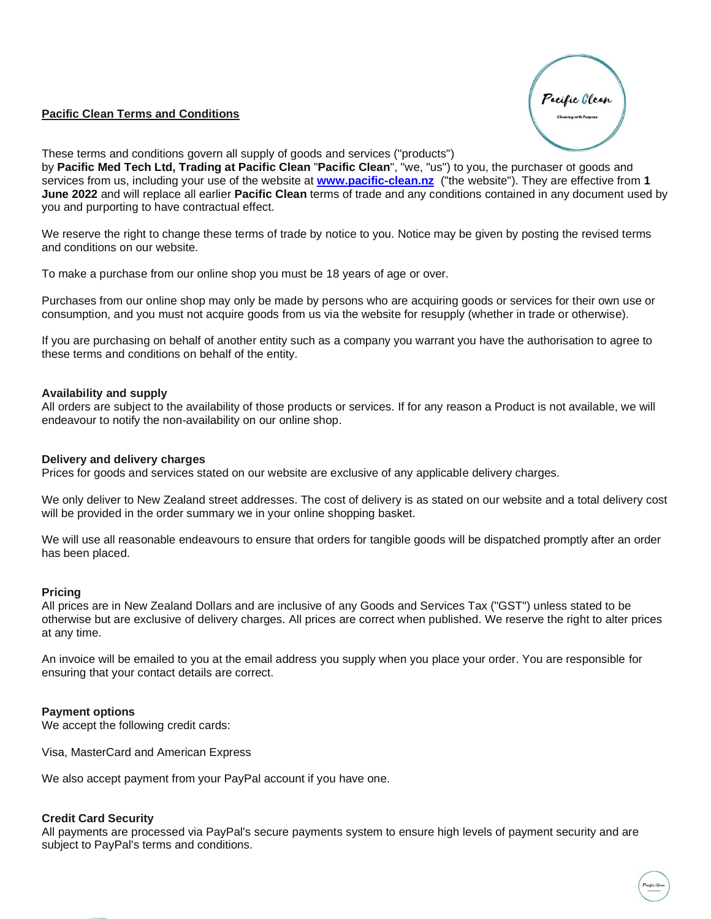# **Pacific Clean Terms and Conditions**



These terms and conditions govern all supply of goods and services ("products")

by **Pacific Med Tech Ltd, Trading at Pacific Clean** "**Pacific Clean**", "we, "us") to you, the purchaser of goods and services from us, including your use of the website at **[www.pacific-clean.nz](http://www.pacific-clean.nz/)** ("the website"). They are effective from **1 June 2022** and will replace all earlier **Pacific Clean** terms of trade and any conditions contained in any document used by you and purporting to have contractual effect.

We reserve the right to change these terms of trade by notice to you. Notice may be given by posting the revised terms and conditions on our website.

To make a purchase from our online shop you must be 18 years of age or over.

Purchases from our online shop may only be made by persons who are acquiring goods or services for their own use or consumption, and you must not acquire goods from us via the website for resupply (whether in trade or otherwise).

If you are purchasing on behalf of another entity such as a company you warrant you have the authorisation to agree to these terms and conditions on behalf of the entity.

## **Availability and supply**

All orders are subject to the availability of those products or services. If for any reason a Product is not available, we will endeavour to notify the non-availability on our online shop.

### **Delivery and delivery charges**

Prices for goods and services stated on our website are exclusive of any applicable delivery charges.

We only deliver to New Zealand street addresses. The cost of delivery is as stated on our website and a total delivery cost will be provided in the order summary we in your online shopping basket.

We will use all reasonable endeavours to ensure that orders for tangible goods will be dispatched promptly after an order has been placed.

### **Pricing**

All prices are in New Zealand Dollars and are inclusive of any Goods and Services Tax ("GST") unless stated to be otherwise but are exclusive of delivery charges. All prices are correct when published. We reserve the right to alter prices at any time.

An invoice will be emailed to you at the email address you supply when you place your order. You are responsible for ensuring that your contact details are correct.

## **Payment options**

We accept the following credit cards:

Visa, MasterCard and American Express

We also accept payment from your PayPal account if you have one.

### **Credit Card Security**

All payments are processed via PayPal's secure payments system to ensure high levels of payment security and are subject to PayPal's terms and conditions.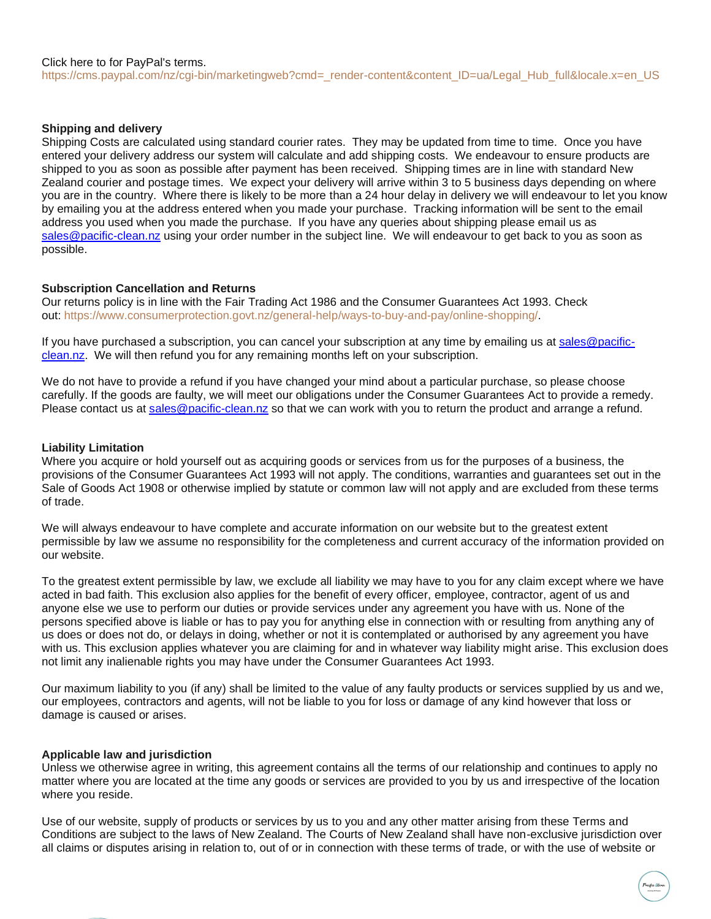### **Shipping and delivery**

Shipping Costs are calculated using standard courier rates. They may be updated from time to time. Once you have entered your delivery address our system will calculate and add shipping costs. We endeavour to ensure products are shipped to you as soon as possible after payment has been received. Shipping times are in line with standard New Zealand courier and postage times. We expect your delivery will arrive within 3 to 5 business days depending on where you are in the country. Where there is likely to be more than a 24 hour delay in delivery we will endeavour to let you know by emailing you at the address entered when you made your purchase. Tracking information will be sent to the email address you used when you made the purchase. If you have any queries about shipping please email us as [sales@pacific-clean.nz](mailto:sales@pacific-clean.nz) using your order number in the subject line. We will endeavour to get back to you as soon as possible.

### **Subscription Cancellation and Returns**

Our returns policy is in line with the Fair Trading Act 1986 and the Consumer Guarantees Act 1993. Check out: [https://www.consumerprotection.govt.nz/general-help/ways-to-buy-and-pay/online-shopping/.](https://www.consumerprotection.govt.nz/general-help/ways-to-buy-and-pay/online-shopping/)

If you have purchased a subscription, you can cancel your subscription at any time by emailing us at [sales@pacific](mailto:sales@pacific-clean.nz)[clean.nz.](mailto:sales@pacific-clean.nz) We will then refund you for any remaining months left on your subscription.

We do not have to provide a refund if you have changed your mind about a particular purchase, so please choose carefully. If the goods are faulty, we will meet our obligations under the Consumer Guarantees Act to provide a remedy. Please contact us at [sales@pacific-clean.nz](mailto:sales@pacific-clean.nz) so that we can work with you to return the product and arrange a refund.

## **Liability Limitation**

Where you acquire or hold yourself out as acquiring goods or services from us for the purposes of a business, the provisions of the Consumer Guarantees Act 1993 will not apply. The conditions, warranties and guarantees set out in the Sale of Goods Act 1908 or otherwise implied by statute or common law will not apply and are excluded from these terms of trade.

We will always endeavour to have complete and accurate information on our website but to the greatest extent permissible by law we assume no responsibility for the completeness and current accuracy of the information provided on our website.

To the greatest extent permissible by law, we exclude all liability we may have to you for any claim except where we have acted in bad faith. This exclusion also applies for the benefit of every officer, employee, contractor, agent of us and anyone else we use to perform our duties or provide services under any agreement you have with us. None of the persons specified above is liable or has to pay you for anything else in connection with or resulting from anything any of us does or does not do, or delays in doing, whether or not it is contemplated or authorised by any agreement you have with us. This exclusion applies whatever you are claiming for and in whatever way liability might arise. This exclusion does not limit any inalienable rights you may have under the Consumer Guarantees Act 1993.

Our maximum liability to you (if any) shall be limited to the value of any faulty products or services supplied by us and we, our employees, contractors and agents, will not be liable to you for loss or damage of any kind however that loss or damage is caused or arises.

## **Applicable law and jurisdiction**

Unless we otherwise agree in writing, this agreement contains all the terms of our relationship and continues to apply no matter where you are located at the time any goods or services are provided to you by us and irrespective of the location where you reside.

Use of our website, supply of products or services by us to you and any other matter arising from these Terms and Conditions are subject to the laws of New Zealand. The Courts of New Zealand shall have non-exclusive jurisdiction over all claims or disputes arising in relation to, out of or in connection with these terms of trade, or with the use of website or